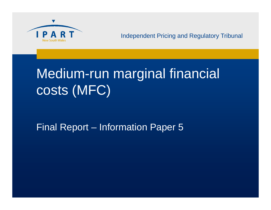

# Medium-run marginal financial costs (MFC)

Final Report – Information Paper 5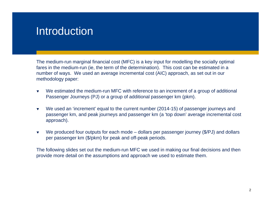#### **Introduction**

The medium-run marginal financial cost (MFC) is a key input for modelling the socially optimal fares in the medium-run (ie, the term of the determination). This cost can be estimated in a number of ways. We used an average incremental cost (AIC) approach, as set out in our methodology paper:

- $\blacktriangledown$  We estimated the medium-run MFC with reference to an increment of a group of additional Passenger Journeys (PJ) or a group of additional passenger km (pkm).
- $\blacktriangledown$  We used an 'increment' equal to the current number (2014-15) of passenger journeys and passenger km, and peak journeys and passenger km (a 'top down' average incremental cost approach).
- $\blacktriangledown$ We produced four outputs for each mode – dollars per passenger journey (\$/PJ) and dollars per passenger km (\$/pkm) for peak and off-peak periods.

The following slides set out the medium-run MFC we used in making our final decisions and then provide more detail on the assumptions and approach we used to estimate them.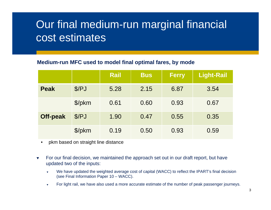## Our final medium-run marginal financial cost estimates

#### **Medium-run MFC used to model final optimal fares, by mode**

|                 |        | <b>Rail</b> | <b>Bus</b> | <b>Ferry</b> | <b>Light-Rail</b> |
|-----------------|--------|-------------|------------|--------------|-------------------|
| <b>Peak</b>     | \$/PJ  | 5.28        | 2.15       | 6.87         | 3.54              |
|                 | \$/pkm | 0.61        | 0.60       | 0.93         | 0.67              |
| <b>Off-peak</b> | \$/PJ  | 1.90        | 0.47       | 0.55         | 0.35              |
|                 | \$/pkm | 0.19        | 0.50       | 0.93         | 0.59              |

- $\bullet$ pkm based on straight line distance
- $\blacktriangledown$  For our final decision, we maintained the approach set out in our draft report, but have updated two of the inputs:
	- ▼ We have updated the weighted average cost of capital (WACC) to reflect the IPART's final decision (see Final Information Paper 10 – WACC).
	- $\overline{\mathbf{v}}$ For light rail, we have also used a more accurate estimate of the number of peak passenger journeys.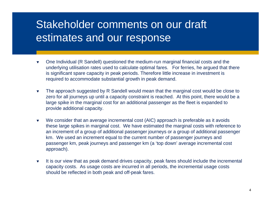#### Stakeholder comments on our draft estimates and our response

- $\blacktriangledown$  One Individual (R Sandell) questioned the medium-run marginal financial costs and the underlying utilisation rates used to calculate optimal fares. For ferries, he argued that there is significant spare capacity in peak periods. Therefore little increase in investment is required to accommodate substantial growth in peak demand.
- $\blacktriangledown$  The approach suggested by R Sandell would mean that the marginal cost would be close to zero for all journeys up until a capacity constraint is reached. At this point, there would be a large spike in the marginal cost for an additional passenger as the fleet is expanded to provide additional capacity.
- $\blacktriangledown$  We consider that an average incremental cost (AIC) approach is preferable as it avoids these large spikes in marginal cost. We have estimated the marginal costs with reference to an increment of a group of additional passenger journeys or a group of additional passenger km. We used an increment equal to the current number of passenger journeys and passenger km, peak journeys and passenger km (a 'top down' average incremental cost approach).
- $\blacktriangledown$  It is our view that as peak demand drives capacity, peak fares should include the incremental capacity costs. As usage costs are incurred in all periods, the incremental usage costs should be reflected in both peak and off-peak fares.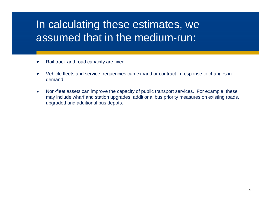## In calculating these estimates, we assumed that in the medium-run:

- $\blacktriangledown$ Rail track and road capacity are fixed.
- $\blacktriangledown$  Vehicle fleets and service frequencies can expand or contract in response to changes in demand.
- $\blacktriangledown$  Non-fleet assets can improve the capacity of public transport services. For example, these may include wharf and station upgrades, additional bus priority measures on existing roads, upgraded and additional bus depots.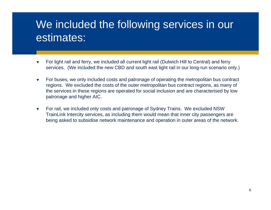#### We included the following services in our estimates:

- $\blacktriangledown$  For light rail and ferry, we included all current light rail (Dulwich Hill to Central) and ferry services. (We included the new CBD and south east light rail in our long-run scenario only.)
- $\blacktriangledown$  For buses, we only included costs and patronage of operating the metropolitan bus contract regions. We excluded the costs of the outer metropolitan bus contract regions, as many of the services in these regions are operated for social inclusion and are characterised by low patronage and higher AIC.
- $\blacktriangledown$  For rail, we included only costs and patronage of Sydney Trains. We excluded NSW TrainLink Intercity services, as including them would mean that inner city passengers are being asked to subsidise network maintenance and operation in outer areas of the network.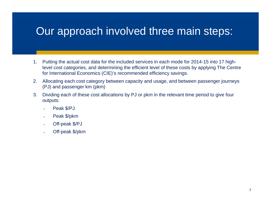#### Our approach involved three main steps:

- 1. Putting the actual cost data for the included services in each mode for 2014-15 into 17 highlevel cost categories, and determining the efficient level of these costs by applying The Centre for International Economics (CIE)'s recommended efficiency savings.
- 2. Allocating each cost category between capacity and usage, and between passenger journeys (PJ) and passenger km (pkm)
- 3. Dividing each of these cost allocations by PJ or pkm in the relevant time period to give four outputs:
	- п Peak \$/PJ
	- п Peak \$/pkm
	- п Off-peak \$/PJ
	- п Off-peak \$/pkm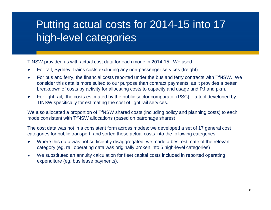## Putting actual costs for 2014-15 into 17 high-level categories

TfNSW provided us with actual cost data for each mode in 2014-15. We used:

- $\blacktriangledown$ For rail, Sydney Trains costs excluding any non-passenger services (freight).
- $\blacktriangledown$  For bus and ferry, the financial costs reported under the bus and ferry contracts with TfNSW. We consider this data is more suited to our purpose than contract payments, as it provides a better breakdown of costs by activity for allocating costs to capacity and usage and PJ and pkm.
- $\blacktriangledown$  For light rail, the costs estimated by the public sector comparator (PSC) – a tool developed by TfNSW specifically for estimating the cost of light rail services.

We also allocated a proportion of TfNSW shared costs (including policy and planning costs) to each mode consistent with TfNSW allocations (based on patronage shares).

The cost data was not in a consistent form across modes; we developed a set of 17 general cost categories for public transport, and sorted these actual costs into the following categories:

- $\blacktriangledown$  Where this data was not sufficiently disaggregated, we made a best estimate of the relevant category (eg, rail operating data was originally broken into 5 high-level categories)
- $\blacktriangledown$  We substituted an annuity calculation for fleet capital costs included in reported operating expenditure (eg, bus lease payments).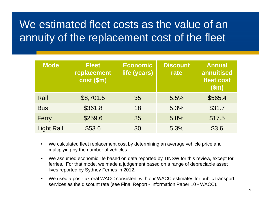## We estimated fleet costs as the value of an annuity of the replacement cost of the fleet

| <b>Mode</b>       | <b>Fleet</b><br>replacement<br>cost (\$m) | <b>Economic</b><br>life (years) | <b>Discount</b><br>rate | <b>Annual</b><br>annuitised<br>fleet cost<br>(Sm) |
|-------------------|-------------------------------------------|---------------------------------|-------------------------|---------------------------------------------------|
| Rail              | \$8,701.5                                 | 35                              | 5.5%                    | \$565.4                                           |
| <b>Bus</b>        | \$361.8                                   | 18                              | 5.3%                    | \$31.7                                            |
| Ferry             | \$259.6                                   | 35                              | 5.8%                    | \$17.5                                            |
| <b>Light Rail</b> | \$53.6                                    | 30                              | 5.3%                    | \$3.6                                             |

- $\bullet$  We calculated fleet replacement cost by determining an average vehicle price and multiplying by the number of vehicles
- $\bullet$  We assumed economic life based on data reported by TfNSW for this review, except for ferries. For that mode, we made a judgement based on a range of depreciable asset lives reported by Sydney Ferries in 2012.
- $\bullet$  We used a post-tax real WACC consistent with our WACC estimates for public transport services as the discount rate (see Final Report - Information Paper 10 - WACC).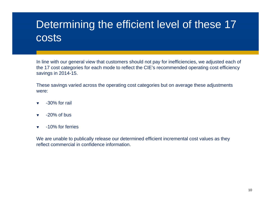## Determining the efficient level of these 17 costs

In line with our general view that customers should not pay for inefficiencies, we adjusted each of the 17 cost categories for each mode to reflect the CIE's recommended operating cost efficiency savings in 2014-15.

These savings varied across the operating cost categories but on average these adjustments were:

- $\blacktriangledown$ -30% for rail
- $\blacktriangledown$ -20% of bus
- $\overline{\mathbf{v}}$ -10% for ferries

We are unable to publically release our determined efficient incremental cost values as they reflect commercial in confidence information.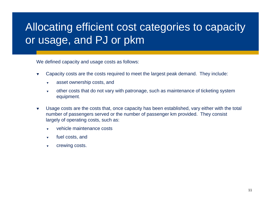## Allocating efficient cost categories to capacity or usage, and PJ or pkm

We defined capacity and usage costs as follows:

- $\blacktriangledown$  Capacity costs are the costs required to meet the largest peak demand. They include:
	- $\overline{\mathbf{v}}$ asset ownership costs, and
	- $\blacktriangledown$  other costs that do not vary with patronage, such as maintenance of ticketing system equipment.
- $\blacktriangledown$  Usage costs are the costs that, once capacity has been established, vary either with the total number of passengers served or the number of passenger km provided. They consist largely of operating costs, such as:
	- ▼ vehicle maintenance costs
	- $\blacktriangledown$ fuel costs, and
	- $\blacktriangledown$ crewing costs.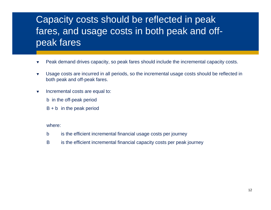#### Capacity costs should be reflected in peak fares, and usage costs in both peak and offpeak fares

- $\blacktriangledown$ Peak demand drives capacity, so peak fares should include the incremental capacity costs.
- $\blacktriangledown$  Usage costs are incurred in all periods, so the incremental usage costs should be reflected in both peak and off-peak fares.
- $\blacktriangledown$  Incremental costs are equal to:
	- b in the off-peak period
	- $B + b$  in the peak period

#### where:

- b is the efficient incremental financial usage costs per journey
- B is the efficient incremental financial capacity costs per peak journey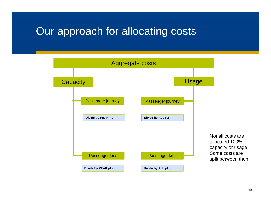#### Our approach for allocating costs

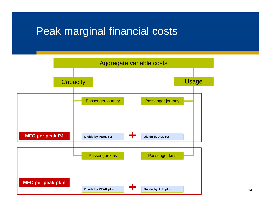#### Peak marginal financial costs

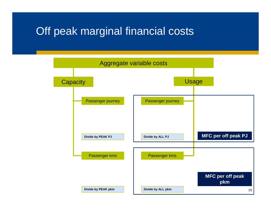#### Off peak marginal financial costs

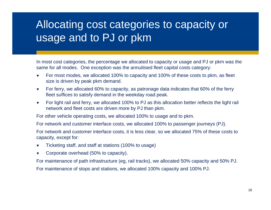#### Allocating cost categories to capacity or usage and to PJ or pkm

In most cost categories, the percentage we allocated to capacity or usage and PJ or pkm was the same for all modes. One exception was the annuitised fleet capital costs category:

- $\blacktriangledown$  For most modes, we allocated 100% to capacity and 100% of these costs to pkm, as fleet size is driven by peak pkm demand.
- $\blacktriangledown$  For ferry, we allocated 60% to capacity, as patronage data indicates that 60% of the ferry fleet suffices to satisfy demand in the weekday road peak.
- $\blacktriangledown$  For light rail and ferry, we allocated 100% to PJ as this allocation better reflects the light rail network and fleet costs are driven more by PJ than pkm.

For other vehicle operating costs, we allocated 100% to usage and to pkm.

For network and customer interface costs, we allocated 100% to passenger journeys (PJ).

For network and customer interface costs, it is less clear, so we allocated 75% of these costs to capacity, except for:

- $\blacktriangledown$ Ticketing staff, and staff at stations (100% to usage)
- $\blacktriangledown$ Corporate overhead (50% to capacity).

For maintenance of path infrastructure (eg, rail tracks), we allocated 50% capacity and 50% PJ.

For maintenance of stops and stations, we allocated 100% capacity and 100% PJ.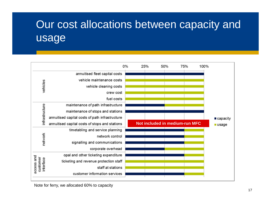## Our cost allocations between capacity and usage

|                                     |                                                 | 0% | 25% | 50% | 75%                                   | 100% |
|-------------------------------------|-------------------------------------------------|----|-----|-----|---------------------------------------|------|
|                                     | annuitised fleet capital costs                  |    |     |     |                                       |      |
|                                     | vehicle maintenance costs                       |    |     |     |                                       |      |
| vehicles                            | vehicle cleaning costs                          |    |     |     |                                       |      |
|                                     | crew cost                                       |    |     |     |                                       |      |
|                                     | fuel costs                                      |    |     |     |                                       |      |
|                                     | maintenance of path infrastructure              |    |     |     |                                       |      |
| infrastructure                      | maintenance of stops and stations               |    |     |     |                                       |      |
|                                     | annuitised capital costs of path infrastructure |    |     |     |                                       |      |
|                                     | annuitised capital costs of stops and stations  |    |     |     | <b>Not included in medium-run MFC</b> |      |
|                                     | timetabling and service planning                |    |     |     |                                       |      |
|                                     |                                                 |    |     |     |                                       |      |
|                                     | network control                                 |    |     |     |                                       |      |
| network                             | signalling and communications                   |    |     |     |                                       |      |
|                                     | corporate overhead                              |    |     |     |                                       |      |
|                                     | opal and other ticketing expenditure            |    |     |     |                                       |      |
|                                     | ticketing and revenue protection staff          |    |     |     |                                       |      |
| access and<br>customer<br>interface | staff at stations                               |    |     |     |                                       |      |

Note for ferry, we allocated 60% to capacity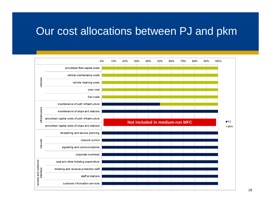#### Our cost allocations between PJ and pkm